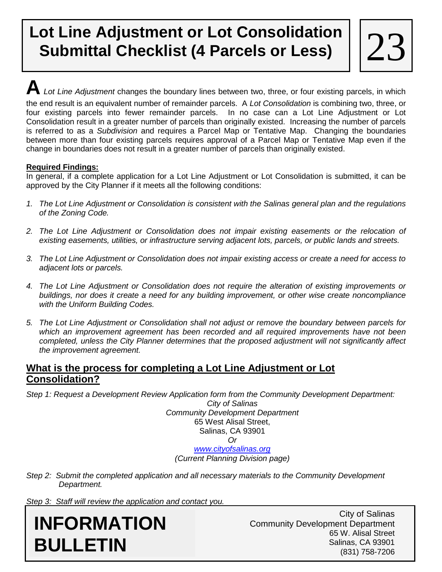# **Lot Line Adjustment or Lot Consolidation Submittal Checklist (4 Parcels or Less)**

**A***Lot Line Adjustment* changes the boundary lines between two, three, or four existing parcels, in which the end result is an equivalent number of remainder parcels. A *Lot Consolidation* is combining two, three, or four existing parcels into fewer remainder parcels. In no case can a Lot Line Adjustment or Lot Consolidation result in a greater number of parcels than originally existed. Increasing the number of parcels is referred to as a *Subdivision* and requires a Parcel Map or Tentative Map. Changing the boundaries between more than four existing parcels requires approval of a Parcel Map or Tentative Map even if the change in boundaries does not result in a greater number of parcels than originally existed.

## **Required Findings:**

In general, if a complete application for a Lot Line Adjustment or Lot Consolidation is submitted, it can be approved by the City Planner if it meets all the following conditions:

- *1. The Lot Line Adjustment or Consolidation is consistent with the Salinas general plan and the regulations of the Zoning Code.*
- *2. The Lot Line Adjustment or Consolidation does not impair existing easements or the relocation of existing easements, utilities, or infrastructure serving adjacent lots, parcels, or public lands and streets.*
- *3. The Lot Line Adjustment or Consolidation does not impair existing access or create a need for access to adjacent lots or parcels.*
- *4. The Lot Line Adjustment or Consolidation does not require the alteration of existing improvements or buildings, nor does it create a need for any building improvement, or other wise create noncompliance with the Uniform Building Codes.*
- *5. The Lot Line Adjustment or Consolidation shall not adjust or remove the boundary between parcels for which an improvement agreement has been recorded and all required improvements have not been completed, unless the City Planner determines that the proposed adjustment will not significantly affect the improvement agreement.*

# **What is the process for completing a Lot Line Adjustment or Lot Consolidation?**

*Step 1: Request a Development Review Application form from the Community Development Department:*

*City of Salinas Community Development Department* 65 West Alisal Street, Salinas, CA 93901 *Or*

*[www.cityofsalinas.org](http://www.ci.salinas.ca.us/) (Current Planning Division page)*

*Step 2: Submit the completed application and all necessary materials to the Community Development Department.*

*Step 3: Staff will review the application and contact you.*

**INFORMATION BULLETIN**

City of Salinas Community Development Department 65 W. Alisal Street Salinas, CA 93901 (831) 758-7206